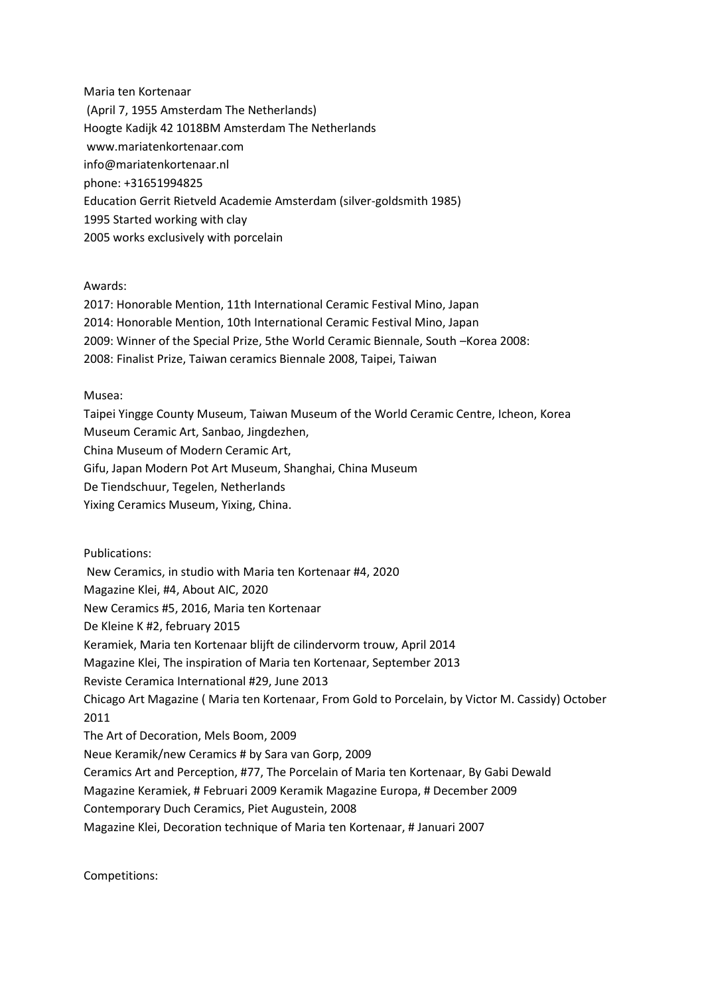Maria ten Kortenaar (April 7, 1955 Amsterdam The Netherlands) Hoogte Kadijk 42 1018BM Amsterdam The Netherlands www.mariatenkortenaar.com info@mariatenkortenaar.nl phone: +31651994825 Education Gerrit Rietveld Academie Amsterdam (silver-goldsmith 1985) 1995 Started working with clay 2005 works exclusively with porcelain

## Awards:

2017: Honorable Mention, 11th International Ceramic Festival Mino, Japan 2014: Honorable Mention, 10th International Ceramic Festival Mino, Japan 2009: Winner of the Special Prize, 5the World Ceramic Biennale, South –Korea 2008: 2008: Finalist Prize, Taiwan ceramics Biennale 2008, Taipei, Taiwan

## Musea:

Taipei Yingge County Museum, Taiwan Museum of the World Ceramic Centre, Icheon, Korea Museum Ceramic Art, Sanbao, Jingdezhen, China Museum of Modern Ceramic Art, Gifu, Japan Modern Pot Art Museum, Shanghai, China Museum De Tiendschuur, Tegelen, Netherlands Yixing Ceramics Museum, Yixing, China.

Publications: New Ceramics, in studio with Maria ten Kortenaar #4, 2020 Magazine Klei, #4, About AIC, 2020 New Ceramics #5, 2016, Maria ten Kortenaar De Kleine K #2, february 2015 Keramiek, Maria ten Kortenaar blijft de cilindervorm trouw, April 2014 Magazine Klei, The inspiration of Maria ten Kortenaar, September 2013 Reviste Ceramica International #29, June 2013 Chicago Art Magazine ( Maria ten Kortenaar, From Gold to Porcelain, by Victor M. Cassidy) October 2011 The Art of Decoration, Mels Boom, 2009 Neue Keramik/new Ceramics # by Sara van Gorp, 2009 Ceramics Art and Perception, #77, The Porcelain of Maria ten Kortenaar, By Gabi Dewald Magazine Keramiek, # Februari 2009 Keramik Magazine Europa, # December 2009 Contemporary Duch Ceramics, Piet Augustein, 2008 Magazine Klei, Decoration technique of Maria ten Kortenaar, # Januari 2007

Competitions: